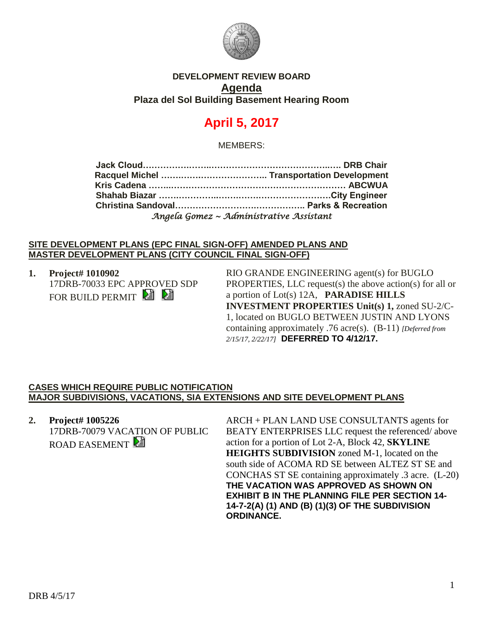

# **DEVELOPMENT REVIEW BOARD Agenda Plaza del Sol Building Basement Hearing Room**

# **April 5, 2017**

MEMBERS:

| Angela Gomez ~ Administrative Assistant |  |
|-----------------------------------------|--|

#### **SITE DEVELOPMENT PLANS (EPC FINAL SIGN-OFF) AMENDED PLANS AND MASTER DEVELOPMENT PLANS (CITY COUNCIL FINAL SIGN-OFF)**

**1. Project# 1010902** 17DRB-70033 EPC APPROVED SDP FOR BUILD PERMIT

RIO GRANDE ENGINEERING agent(s) for BUGLO PROPERTIES, LLC request(s) the above action(s) for all or a portion of Lot(s) 12A, **PARADISE HILLS INVESTMENT PROPERTIES Unit(s) 1,** zoned SU-2/C-1, located on BUGLO BETWEEN JUSTIN AND LYONS containing approximately .76 acre(s). (B-11) *[Deferred from 2/15/17, 2/22/17]* **DEFERRED TO 4/12/17.**

## **CASES WHICH REQUIRE PUBLIC NOTIFICATION MAJOR SUBDIVISIONS, VACATIONS, SIA EXTENSIONS AND SITE DEVELOPMENT PLANS**

**2. Project# 1005226** 17DRB-70079 VACATION OF PUBLIC ROAD EASEMENT

ARCH + PLAN LAND USE CONSULTANTS agents for BEATY ENTERPRISES LLC request the referenced/ above action for a portion of Lot 2-A, Block 42, **SKYLINE HEIGHTS SUBDIVISION** zoned M-1, located on the south side of ACOMA RD SE between ALTEZ ST SE and CONCHAS ST SE containing approximately .3 acre. (L-20) **THE VACATION WAS APPROVED AS SHOWN ON EXHIBIT B IN THE PLANNING FILE PER SECTION 14- 14-7-2(A) (1) AND (B) (1)(3) OF THE SUBDIVISION ORDINANCE.**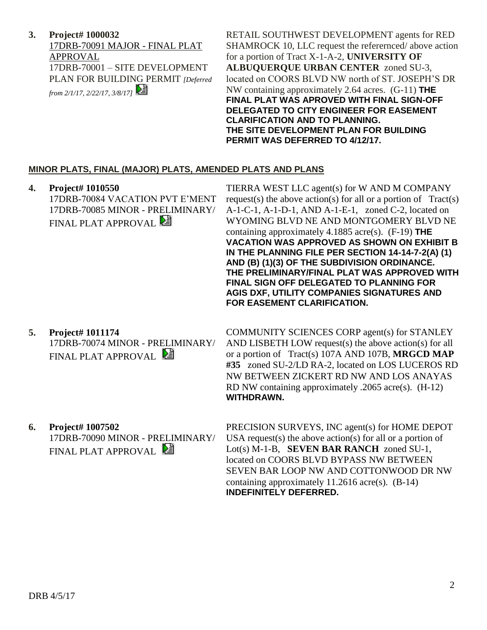**3. Project# 1000032** 17DRB-70091 MAJOR - FINAL PLAT APPROVAL 17DRB-70001 – SITE DEVELOPMENT PLAN FOR BUILDING PERMIT *[Deferred from 2/1/17, 2/22/17, 3/8/17]* 

RETAIL SOUTHWEST DEVELOPMENT agents for RED SHAMROCK 10, LLC request the referernced/ above action for a portion of Tract X-1-A-2, **UNIVERSITY OF ALBUQUERQUE URBAN CENTER** zoned SU-3, located on COORS BLVD NW north of ST. JOSEPH'S DR NW containing approximately 2.64 acres. (G-11) **THE FINAL PLAT WAS APROVED WITH FINAL SIGN-OFF DELEGATED TO CITY ENGINEER FOR EASEMENT CLARIFICATION AND TO PLANNING. THE SITE DEVELOPMENT PLAN FOR BUILDING PERMIT WAS DEFERRED TO 4/12/17.**

## **MINOR PLATS, FINAL (MAJOR) PLATS, AMENDED PLATS AND PLANS**

**4. Project# 1010550** 17DRB-70084 VACATION PVT E'MENT 17DRB-70085 MINOR - PRELIMINARY/ FINAL PLAT APPROVAL

TIERRA WEST LLC agent(s) for W AND M COMPANY request(s) the above action(s) for all or a portion of  $Tract(s)$ A-1-C-1, A-1-D-1, AND A-1-E-1, zoned C-2, located on WYOMING BLVD NE AND MONTGOMERY BLVD NE containing approximately 4.1885 acre(s). (F-19) **THE VACATION WAS APPROVED AS SHOWN ON EXHIBIT B IN THE PLANNING FILE PER SECTION 14-14-7-2(A) (1) AND (B) (1)(3) OF THE SUBDIVISION ORDINANCE. THE PRELIMINARY/FINAL PLAT WAS APPROVED WITH FINAL SIGN OFF DELEGATED TO PLANNING FOR AGIS DXF, UTILITY COMPANIES SIGNATURES AND FOR EASEMENT CLARIFICATION.**

**5. Project# 1011174** 17DRB-70074 MINOR - PRELIMINARY/ FINAL PLAT APPROVAL

COMMUNITY SCIENCES CORP agent(s) for STANLEY AND LISBETH LOW request(s) the above action(s) for all or a portion of Tract(s) 107A AND 107B, **MRGCD MAP #35** zoned SU-2/LD RA-2, located on LOS LUCEROS RD NW BETWEEN ZICKERT RD NW AND LOS ANAYAS RD NW containing approximately .2065 acre(s). (H-12) **WITHDRAWN.**

**6. Project# 1007502** 17DRB-70090 MINOR - PRELIMINARY/ FINAL PLAT APPROVAL

PRECISION SURVEYS, INC agent(s) for HOME DEPOT USA request(s) the above action(s) for all or a portion of Lot(s) M-1-B, **SEVEN BAR RANCH** zoned SU-1, located on COORS BLVD BYPASS NW BETWEEN SEVEN BAR LOOP NW AND COTTONWOOD DR NW containing approximately 11.2616 acre(s). (B-14) **INDEFINITELY DEFERRED.**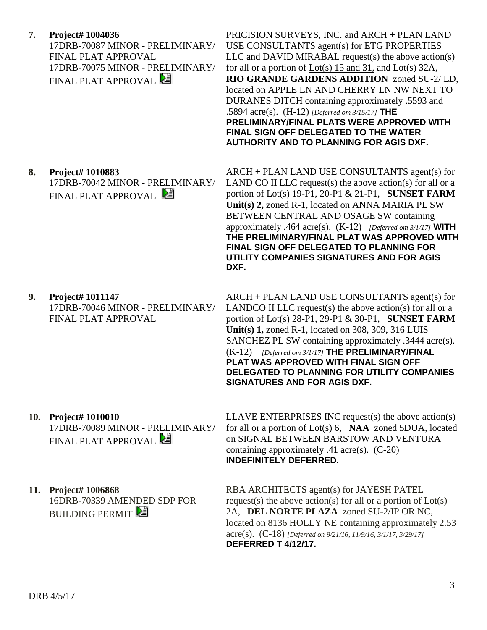**7. Project# 1004036** 17DRB-70087 MINOR - PRELIMINARY/ FINAL PLAT APPROVAL 17DRB-70075 MINOR - PRELIMINARY/ FINAL PLAT APPROVAL

PRICISION SURVEYS, INC. and ARCH + PLAN LAND USE CONSULTANTS agent(s) for ETG PROPERTIES  $LLC$  and DAVID MIRABAL request(s) the above action(s) for all or a portion of  $Lot(s)$  15 and 31, and  $Lot(s)$  32A, **RIO GRANDE GARDENS ADDITION** zoned SU-2/ LD, located on APPLE LN AND CHERRY LN NW NEXT TO DURANES DITCH containing approximately .5593 and .5894 acre(s). (H-12) *[Deferred om 3/15/17]* **THE PRELIMINARY/FINAL PLATS WERE APPROVED WITH FINAL SIGN OFF DELEGATED TO THE WATER AUTHORITY AND TO PLANNING FOR AGIS DXF.**

ARCH + PLAN LAND USE CONSULTANTS agent(s) for LAND CO II LLC request(s) the above action(s) for all or a portion of Lot(s) 19-P1, 20-P1 & 21-P1, **SUNSET FARM Unit(s) 2,** zoned R-1, located on ANNA MARIA PL SW

**8. Project# 1010883** 17DRB-70042 MINOR - PRELIMINARY/ FINAL PLAT APPROVAL

> BETWEEN CENTRAL AND OSAGE SW containing approximately .464 acre(s). (K-12) *[Deferred om 3/1/17]* **WITH THE PRELIMINARY/FINAL PLAT WAS APPROVED WITH FINAL SIGN OFF DELEGATED TO PLANNING FOR UTILITY COMPANIES SIGNATURES AND FOR AGIS DXF.**

**9. Project# 1011147** 17DRB-70046 MINOR - PRELIMINARY/ FINAL PLAT APPROVAL

ARCH + PLAN LAND USE CONSULTANTS agent(s) for LANDCO II LLC request(s) the above action(s) for all or a portion of Lot(s) 28-P1, 29-P1 & 30-P1, **SUNSET FARM Unit(s) 1,** zoned R-1, located on 308, 309, 316 LUIS SANCHEZ PL SW containing approximately .3444 acre(s). (K-12) *[Deferred om 3/1/17]* **THE PRELIMINARY/FINAL PLAT WAS APPROVED WITH FINAL SIGN OFF DELEGATED TO PLANNING FOR UTILITY COMPANIES SIGNATURES AND FOR AGIS DXF.** 

**10. Project# 1010010** 17DRB-70089 MINOR - PRELIMINARY/ FINAL PLAT APPROVAL **E** 

LLAVE ENTERPRISES INC request(s) the above action(s) for all or a portion of Lot(s) 6, **NAA** zoned 5DUA, located on SIGNAL BETWEEN BARSTOW AND VENTURA containing approximately .41 acre(s). (C-20) **INDEFINITELY DEFERRED.**

**11. Project# 1006868** 16DRB-70339 AMENDED SDP FOR **BUILDING PERMIT** 

RBA ARCHITECTS agent(s) for JAYESH PATEL request(s) the above action(s) for all or a portion of Lot(s) 2A, **DEL NORTE PLAZA** zoned SU-2/IP OR NC, located on 8136 HOLLY NE containing approximately 2.53 acre(s). (C-18) *[Deferred on 9/21/16, 11/9/16, 3/1/17, 3/29/17]* **DEFERRED T 4/12/17.**